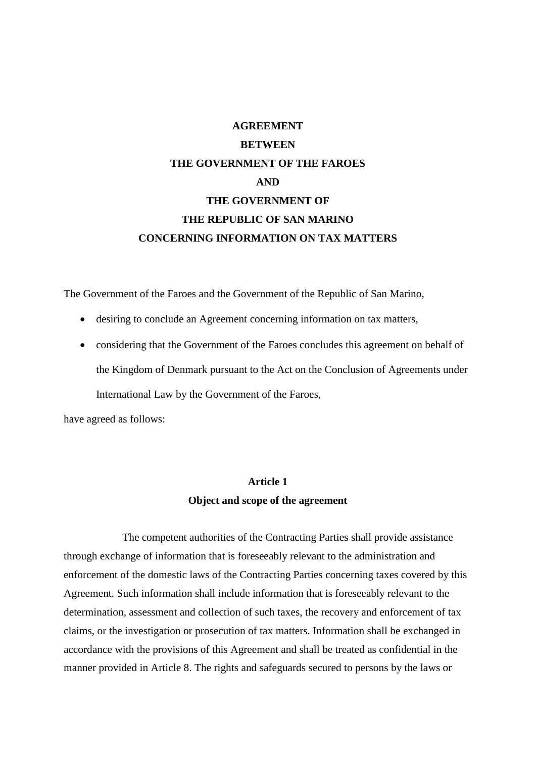# **AGREEMENT BETWEEN THE GOVERNMENT OF THE FAROES AND THE GOVERNMENT OF THE REPUBLIC OF SAN MARINO CONCERNING INFORMATION ON TAX MATTERS**

The Government of the Faroes and the Government of the Republic of San Marino,

- desiring to conclude an Agreement concerning information on tax matters,
- considering that the Government of the Faroes concludes this agreement on behalf of the Kingdom of Denmark pursuant to the Act on the Conclusion of Agreements under International Law by the Government of the Faroes,

have agreed as follows:

# **Article 1 Object and scope of the agreement**

The competent authorities of the Contracting Parties shall provide assistance through exchange of information that is foreseeably relevant to the administration and enforcement of the domestic laws of the Contracting Parties concerning taxes covered by this Agreement. Such information shall include information that is foreseeably relevant to the determination, assessment and collection of such taxes, the recovery and enforcement of tax claims, or the investigation or prosecution of tax matters. Information shall be exchanged in accordance with the provisions of this Agreement and shall be treated as confidential in the manner provided in Article 8. The rights and safeguards secured to persons by the laws or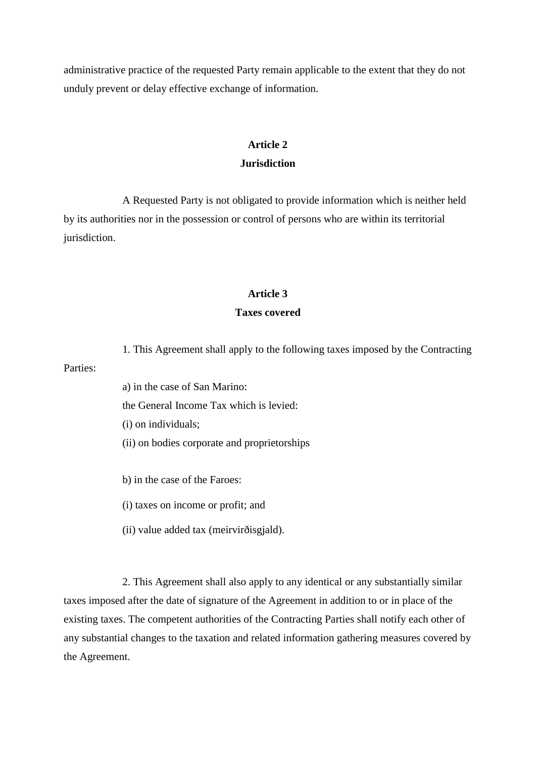administrative practice of the requested Party remain applicable to the extent that they do not unduly prevent or delay effective exchange of information.

## **Article 2 Jurisdiction**

A Requested Party is not obligated to provide information which is neither held by its authorities nor in the possession or control of persons who are within its territorial jurisdiction.

#### **Article 3**

#### **Taxes covered**

1. This Agreement shall apply to the following taxes imposed by the Contracting Parties:

a) in the case of San Marino: the General Income Tax which is levied: (i) on individuals; (ii) on bodies corporate and proprietorships

b) in the case of the Faroes:

(i) taxes on income or profit; and

(ii) value added tax (meirvirðisgjald).

2. This Agreement shall also apply to any identical or any substantially similar taxes imposed after the date of signature of the Agreement in addition to or in place of the existing taxes. The competent authorities of the Contracting Parties shall notify each other of any substantial changes to the taxation and related information gathering measures covered by the Agreement.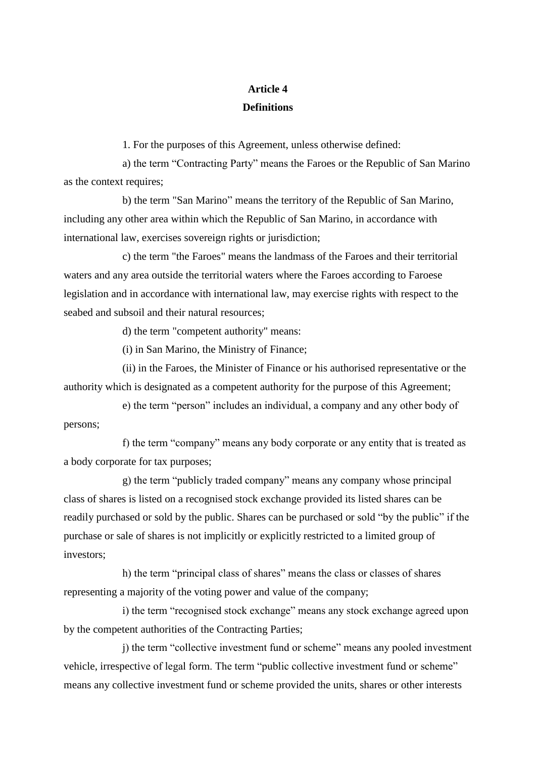#### **Article 4**

#### **Definitions**

1. For the purposes of this Agreement, unless otherwise defined:

a) the term "Contracting Party" means the Faroes or the Republic of San Marino as the context requires;

b) the term "San Marino" means the territory of the Republic of San Marino, including any other area within which the Republic of San Marino, in accordance with international law, exercises sovereign rights or jurisdiction;

c) the term "the Faroes" means the landmass of the Faroes and their territorial waters and any area outside the territorial waters where the Faroes according to Faroese legislation and in accordance with international law, may exercise rights with respect to the seabed and subsoil and their natural resources;

d) the term "competent authority" means:

(i) in San Marino, the Ministry of Finance;

(ii) in the Faroes, the Minister of Finance or his authorised representative or the authority which is designated as a competent authority for the purpose of this Agreement;

e) the term "person" includes an individual, a company and any other body of persons;

f) the term "company" means any body corporate or any entity that is treated as a body corporate for tax purposes;

g) the term "publicly traded company" means any company whose principal class of shares is listed on a recognised stock exchange provided its listed shares can be readily purchased or sold by the public. Shares can be purchased or sold "by the public" if the purchase or sale of shares is not implicitly or explicitly restricted to a limited group of investors;

h) the term "principal class of shares" means the class or classes of shares representing a majority of the voting power and value of the company;

i) the term "recognised stock exchange" means any stock exchange agreed upon by the competent authorities of the Contracting Parties;

j) the term "collective investment fund or scheme" means any pooled investment vehicle, irrespective of legal form. The term "public collective investment fund or scheme" means any collective investment fund or scheme provided the units, shares or other interests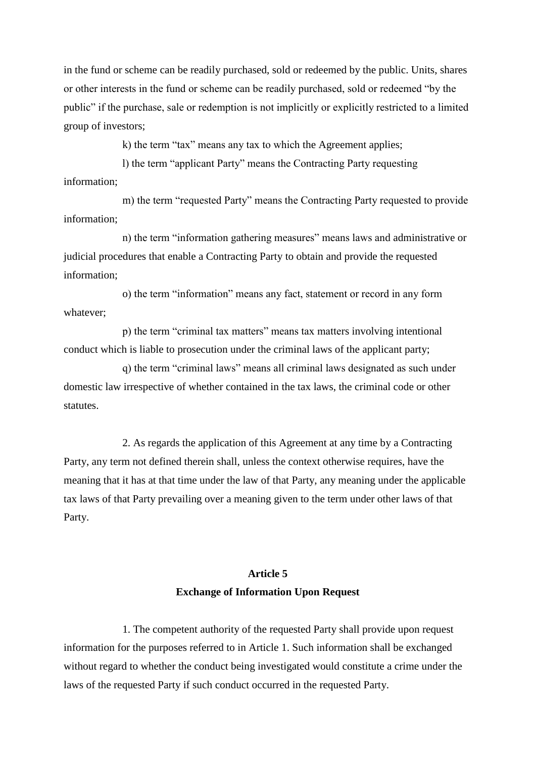in the fund or scheme can be readily purchased, sold or redeemed by the public. Units, shares or other interests in the fund or scheme can be readily purchased, sold or redeemed "by the public" if the purchase, sale or redemption is not implicitly or explicitly restricted to a limited group of investors;

k) the term "tax" means any tax to which the Agreement applies;

l) the term "applicant Party" means the Contracting Party requesting information;

m) the term "requested Party" means the Contracting Party requested to provide information;

n) the term "information gathering measures" means laws and administrative or judicial procedures that enable a Contracting Party to obtain and provide the requested information;

o) the term "information" means any fact, statement or record in any form whatever;

p) the term "criminal tax matters" means tax matters involving intentional conduct which is liable to prosecution under the criminal laws of the applicant party;

q) the term "criminal laws" means all criminal laws designated as such under domestic law irrespective of whether contained in the tax laws, the criminal code or other statutes.

2. As regards the application of this Agreement at any time by a Contracting Party, any term not defined therein shall, unless the context otherwise requires, have the meaning that it has at that time under the law of that Party, any meaning under the applicable tax laws of that Party prevailing over a meaning given to the term under other laws of that Party.

### **Article 5**

### **Exchange of Information Upon Request**

1. The competent authority of the requested Party shall provide upon request information for the purposes referred to in Article 1. Such information shall be exchanged without regard to whether the conduct being investigated would constitute a crime under the laws of the requested Party if such conduct occurred in the requested Party.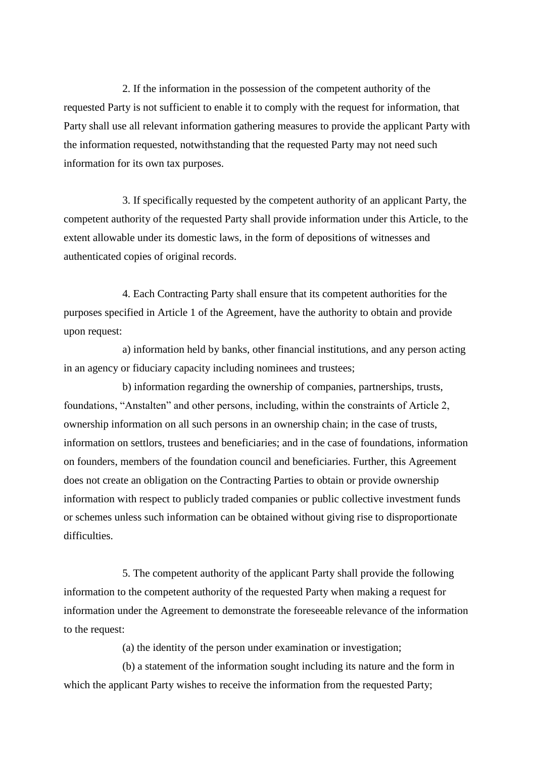2. If the information in the possession of the competent authority of the requested Party is not sufficient to enable it to comply with the request for information, that Party shall use all relevant information gathering measures to provide the applicant Party with the information requested, notwithstanding that the requested Party may not need such information for its own tax purposes.

3. If specifically requested by the competent authority of an applicant Party, the competent authority of the requested Party shall provide information under this Article, to the extent allowable under its domestic laws, in the form of depositions of witnesses and authenticated copies of original records.

4. Each Contracting Party shall ensure that its competent authorities for the purposes specified in Article 1 of the Agreement, have the authority to obtain and provide upon request:

a) information held by banks, other financial institutions, and any person acting in an agency or fiduciary capacity including nominees and trustees;

b) information regarding the ownership of companies, partnerships, trusts, foundations, "Anstalten" and other persons, including, within the constraints of Article 2, ownership information on all such persons in an ownership chain; in the case of trusts, information on settlors, trustees and beneficiaries; and in the case of foundations, information on founders, members of the foundation council and beneficiaries. Further, this Agreement does not create an obligation on the Contracting Parties to obtain or provide ownership information with respect to publicly traded companies or public collective investment funds or schemes unless such information can be obtained without giving rise to disproportionate difficulties.

5. The competent authority of the applicant Party shall provide the following information to the competent authority of the requested Party when making a request for information under the Agreement to demonstrate the foreseeable relevance of the information to the request:

(a) the identity of the person under examination or investigation;

(b) a statement of the information sought including its nature and the form in which the applicant Party wishes to receive the information from the requested Party;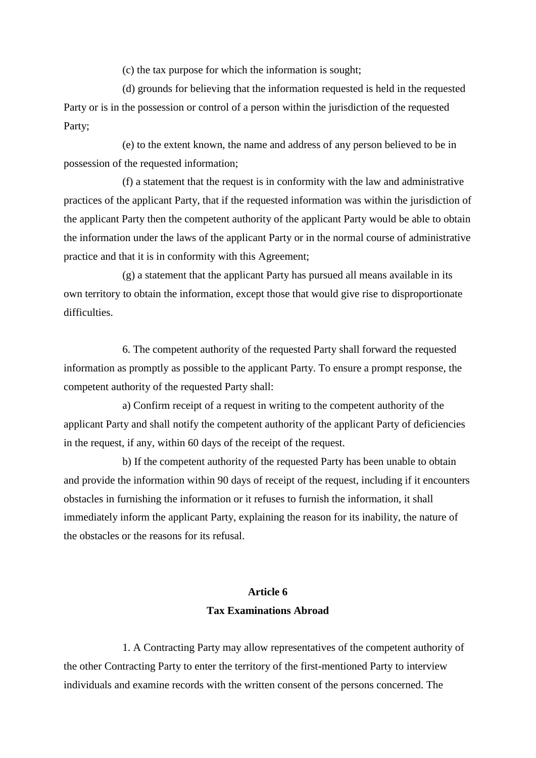(c) the tax purpose for which the information is sought;

(d) grounds for believing that the information requested is held in the requested Party or is in the possession or control of a person within the jurisdiction of the requested Party;

(e) to the extent known, the name and address of any person believed to be in possession of the requested information;

(f) a statement that the request is in conformity with the law and administrative practices of the applicant Party, that if the requested information was within the jurisdiction of the applicant Party then the competent authority of the applicant Party would be able to obtain the information under the laws of the applicant Party or in the normal course of administrative practice and that it is in conformity with this Agreement;

(g) a statement that the applicant Party has pursued all means available in its own territory to obtain the information, except those that would give rise to disproportionate difficulties.

6. The competent authority of the requested Party shall forward the requested information as promptly as possible to the applicant Party. To ensure a prompt response, the competent authority of the requested Party shall:

a) Confirm receipt of a request in writing to the competent authority of the applicant Party and shall notify the competent authority of the applicant Party of deficiencies in the request, if any, within 60 days of the receipt of the request.

b) If the competent authority of the requested Party has been unable to obtain and provide the information within 90 days of receipt of the request, including if it encounters obstacles in furnishing the information or it refuses to furnish the information, it shall immediately inform the applicant Party, explaining the reason for its inability, the nature of the obstacles or the reasons for its refusal.

## **Article 6 Tax Examinations Abroad**

1. A Contracting Party may allow representatives of the competent authority of the other Contracting Party to enter the territory of the first-mentioned Party to interview individuals and examine records with the written consent of the persons concerned. The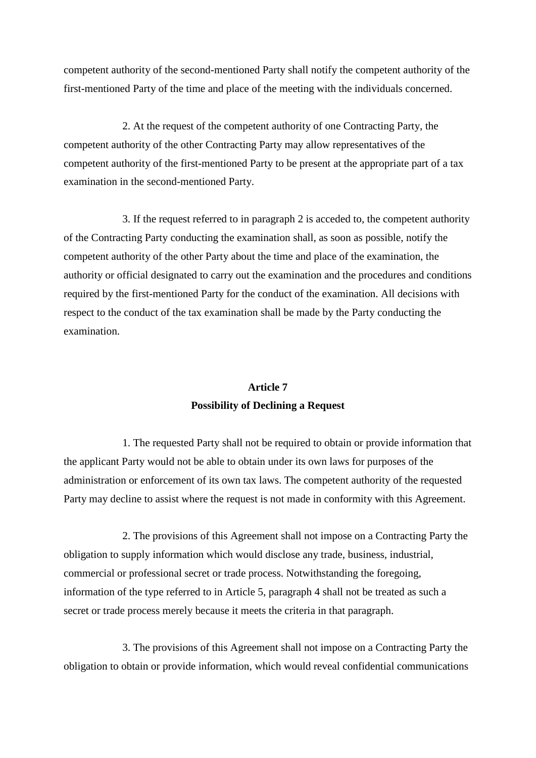competent authority of the second-mentioned Party shall notify the competent authority of the first-mentioned Party of the time and place of the meeting with the individuals concerned.

2. At the request of the competent authority of one Contracting Party, the competent authority of the other Contracting Party may allow representatives of the competent authority of the first-mentioned Party to be present at the appropriate part of a tax examination in the second-mentioned Party.

3. If the request referred to in paragraph 2 is acceded to, the competent authority of the Contracting Party conducting the examination shall, as soon as possible, notify the competent authority of the other Party about the time and place of the examination, the authority or official designated to carry out the examination and the procedures and conditions required by the first-mentioned Party for the conduct of the examination. All decisions with respect to the conduct of the tax examination shall be made by the Party conducting the examination.

# **Article 7 Possibility of Declining a Request**

1. The requested Party shall not be required to obtain or provide information that the applicant Party would not be able to obtain under its own laws for purposes of the administration or enforcement of its own tax laws. The competent authority of the requested Party may decline to assist where the request is not made in conformity with this Agreement.

2. The provisions of this Agreement shall not impose on a Contracting Party the obligation to supply information which would disclose any trade, business, industrial, commercial or professional secret or trade process. Notwithstanding the foregoing, information of the type referred to in Article 5, paragraph 4 shall not be treated as such a secret or trade process merely because it meets the criteria in that paragraph.

3. The provisions of this Agreement shall not impose on a Contracting Party the obligation to obtain or provide information, which would reveal confidential communications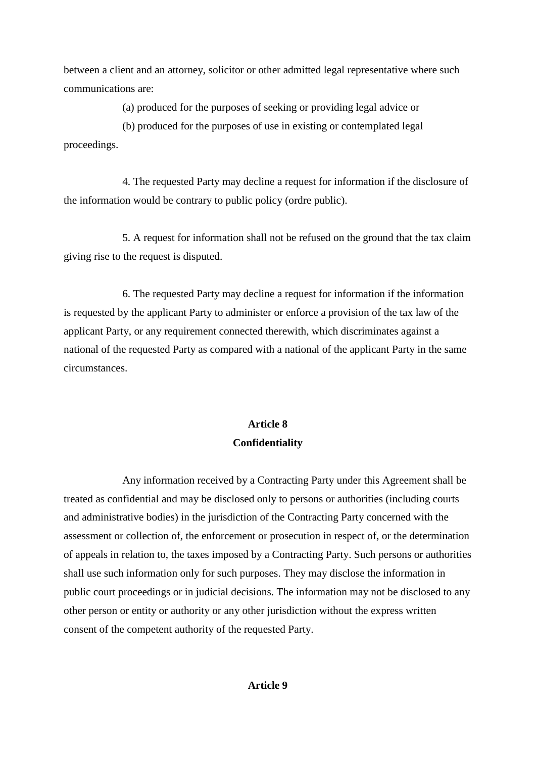between a client and an attorney, solicitor or other admitted legal representative where such communications are:

(a) produced for the purposes of seeking or providing legal advice or

(b) produced for the purposes of use in existing or contemplated legal proceedings.

4. The requested Party may decline a request for information if the disclosure of the information would be contrary to public policy (ordre public).

5. A request for information shall not be refused on the ground that the tax claim giving rise to the request is disputed.

6. The requested Party may decline a request for information if the information is requested by the applicant Party to administer or enforce a provision of the tax law of the applicant Party, or any requirement connected therewith, which discriminates against a national of the requested Party as compared with a national of the applicant Party in the same circumstances.

# **Article 8 Confidentiality**

Any information received by a Contracting Party under this Agreement shall be treated as confidential and may be disclosed only to persons or authorities (including courts and administrative bodies) in the jurisdiction of the Contracting Party concerned with the assessment or collection of, the enforcement or prosecution in respect of, or the determination of appeals in relation to, the taxes imposed by a Contracting Party. Such persons or authorities shall use such information only for such purposes. They may disclose the information in public court proceedings or in judicial decisions. The information may not be disclosed to any other person or entity or authority or any other jurisdiction without the express written consent of the competent authority of the requested Party.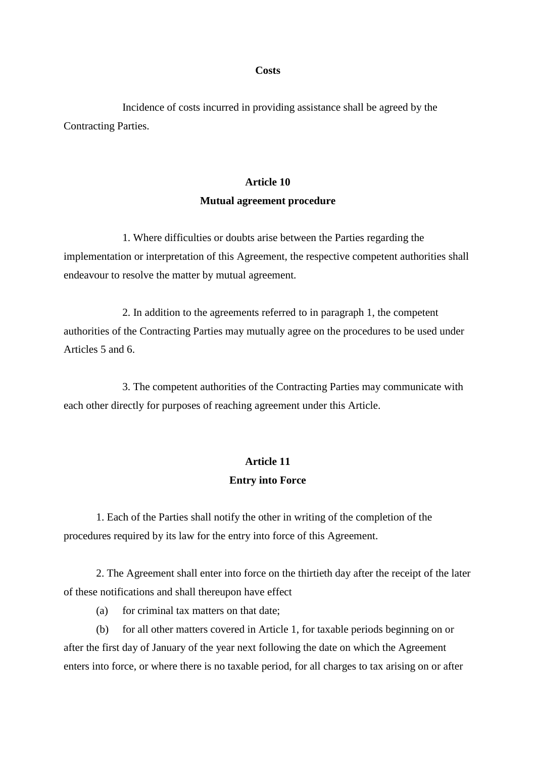#### **Costs**

Incidence of costs incurred in providing assistance shall be agreed by the Contracting Parties.

# **Article 10 Mutual agreement procedure**

1. Where difficulties or doubts arise between the Parties regarding the implementation or interpretation of this Agreement, the respective competent authorities shall endeavour to resolve the matter by mutual agreement.

2. In addition to the agreements referred to in paragraph 1, the competent authorities of the Contracting Parties may mutually agree on the procedures to be used under Articles 5 and 6.

3. The competent authorities of the Contracting Parties may communicate with each other directly for purposes of reaching agreement under this Article.

### **Article 11**

#### **Entry into Force**

1. Each of the Parties shall notify the other in writing of the completion of the procedures required by its law for the entry into force of this Agreement.

2. The Agreement shall enter into force on the thirtieth day after the receipt of the later of these notifications and shall thereupon have effect

(a) for criminal tax matters on that date;

(b) for all other matters covered in Article 1, for taxable periods beginning on or after the first day of January of the year next following the date on which the Agreement enters into force, or where there is no taxable period, for all charges to tax arising on or after